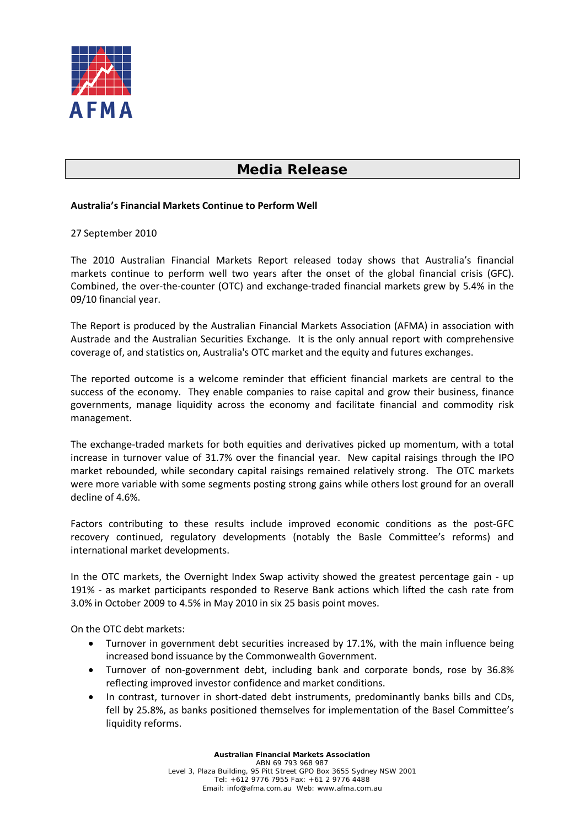

## **Media Release**

## **Australia's Financial Markets Continue to Perform Well**

27 September 2010

The 2010 Australian Financial Markets Report released today shows that Australia's financial markets continue to perform well two years after the onset of the global financial crisis (GFC). Combined, the over-the-counter (OTC) and exchange-traded financial markets grew by 5.4% in the 09/10 financial year.

The Report is produced by the Australian Financial Markets Association (AFMA) in association with Austrade and the Australian Securities Exchange. It is the only annual report with comprehensive coverage of, and statistics on, Australia's OTC market and the equity and futures exchanges.

The reported outcome is a welcome reminder that efficient financial markets are central to the success of the economy. They enable companies to raise capital and grow their business, finance governments, manage liquidity across the economy and facilitate financial and commodity risk management.

The exchange-traded markets for both equities and derivatives picked up momentum, with a total increase in turnover value of 31.7% over the financial year. New capital raisings through the IPO market rebounded, while secondary capital raisings remained relatively strong. The OTC markets were more variable with some segments posting strong gains while others lost ground for an overall decline of 4.6%.

Factors contributing to these results include improved economic conditions as the post-GFC recovery continued, regulatory developments (notably the Basle Committee's reforms) and international market developments.

In the OTC markets, the Overnight Index Swap activity showed the greatest percentage gain - up 191% - as market participants responded to Reserve Bank actions which lifted the cash rate from 3.0% in October 2009 to 4.5% in May 2010 in six 25 basis point moves.

On the OTC debt markets:

- Turnover in government debt securities increased by 17.1%, with the main influence being increased bond issuance by the Commonwealth Government.
- Turnover of non-government debt, including bank and corporate bonds, rose by 36.8% reflecting improved investor confidence and market conditions.
- In contrast, turnover in short-dated debt instruments, predominantly banks bills and CDs, fell by 25.8%, as banks positioned themselves for implementation of the Basel Committee's liquidity reforms.